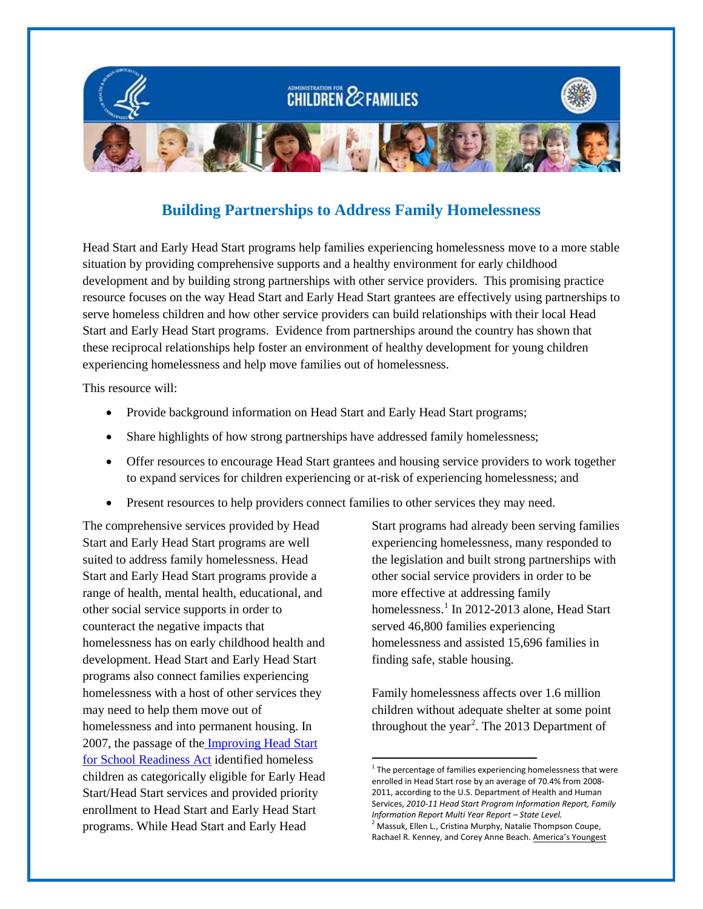

# **Building Partnerships to Address Family Homelessness**

Head Start and Early Head Start programs help families experiencing homelessness move to a more stable situation by providing comprehensive supports and a healthy environment for early childhood development and by building strong partnerships with other service providers. This promising practice resource focuses on the way Head Start and Early Head Start grantees are effectively using partnerships to serve homeless children and how other service providers can build relationships with their local Head Start and Early Head Start programs. Evidence from partnerships around the country has shown that these reciprocal relationships help foster an environment of healthy development for young children experiencing homelessness and help move families out of homelessness.

This resource will:

- Provide background information on Head Start and Early Head Start programs;
- Share highlights of how strong partnerships have addressed family homelessness;
- Offer resources to encourage Head Start grantees and housing service providers to work together to expand services for children experiencing or at-risk of experiencing homelessness; and

 $\overline{\phantom{a}}$ 

• Present resources to help providers connect families to other services they may need.

<span id="page-0-1"></span><span id="page-0-0"></span>The comprehensive services provided by Head Start and Early Head Start programs are well suited to address family homelessness. Head Start and Early Head Start programs provide a range of health, mental health, educational, and other social service supports in order to counteract the negative impacts that homelessness has on early childhood health and development. Head Start and Early Head Start programs also connect families experiencing homelessness with a host of other services they may need to help them move out of homelessness and into permanent housing. In 2007, the passage of th[e Improving Head Start](http://center.serve.org/nche/legis/hs.php)  [for School Readiness Act](http://center.serve.org/nche/legis/hs.php) identified homeless children as categorically eligible for Early Head Start/Head Start services and provided priority enrollment to Head Start and Early Head Start programs. While Head Start and Early Head

Start programs had already been serving families experiencing homelessness, many responded to the legislation and built strong partnerships with other social service providers in order to be more effective at addressing family homelessness.<sup>[1](#page-0-0)</sup> In 2012-2013 alone, Head Start served 46,800 families experiencing homelessness and assisted 15,696 families in finding safe, stable housing.

Family homelessness affects over 1.6 million children without adequate shelter at some point throughout the year<sup>[2](#page-0-1)</sup>. The 2013 Department of

 $1$ <sup>1</sup> The percentage of families experiencing homelessness that were enrolled in Head Start rose by an average of 70.4% from 2008- 2011, according to the U.S. Department of Health and Human Services, *2010-11 Head Start Program Information Report, Family Information Report Multi Year Report – State Level.* <sup>2</sup> Massuk, Ellen L., Cristina Murphy, Natalie Thompson Coupe, Rachael R. Kenney, and Corey Anne Beach. America's Youngest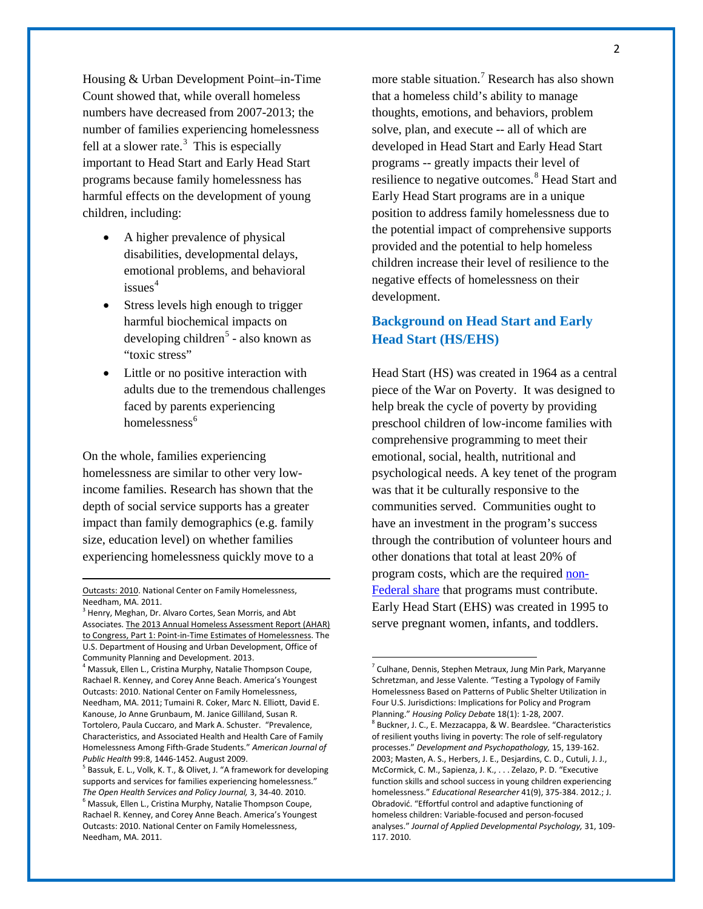Housing & Urban Development Point–in-Time Count showed that, while overall homeless numbers have decreased from 2007-2013; the number of families experiencing homelessness fell at a slower rate. $3$  This is especially important to Head Start and Early Head Start programs because family homelessness has harmful effects on the development of young children, including:

- A higher prevalence of physical disabilities, developmental delays, emotional problems, and behavioral  $is sues<sup>4</sup>$  $is sues<sup>4</sup>$  $is sues<sup>4</sup>$
- Stress levels high enough to trigger harmful biochemical impacts on  $developing children<sup>5</sup> - also known as$  $developing children<sup>5</sup> - also known as$  $developing children<sup>5</sup> - also known as$ "toxic stress"
- Little or no positive interaction with adults due to the tremendous challenges faced by parents experiencing homelessness $<sup>6</sup>$  $<sup>6</sup>$  $<sup>6</sup>$ </sup>

On the whole, families experiencing homelessness are similar to other very lowincome families. Research has shown that the depth of social service supports has a greater impact than family demographics (e.g. family size, education level) on whether families experiencing homelessness quickly move to a

l

more stable situation. [7](#page-1-1) Research has also shown that a homeless child's ability to manage thoughts, emotions, and behaviors, problem solve, plan, and execute -- all of which are developed in Head Start and Early Head Start programs -- greatly impacts their level of resilience to negative outcomes.<sup>[8](#page-1-4)</sup> Head Start and Early Head Start programs are in a unique position to address family homelessness due to the potential impact of comprehensive supports provided and the potential to help homeless children increase their level of resilience to the negative effects of homelessness on their development.

## **Background on Head Start and Early Head Start (HS/EHS)**

Head Start (HS) was created in 1964 as a central piece of the War on Poverty. It was designed to help break the cycle of poverty by providing preschool children of low-income families with comprehensive programming to meet their emotional, social, health, nutritional and psychological needs. A key tenet of the program was that it be culturally responsive to the communities served. Communities ought to have an investment in the program's success through the contribution of volunteer hours and other donations that total at least 20% of program costs, which are the required [non-](http://eclkc.ohs.acf.hhs.gov/hslc/tta-system/operations/fiscal/financial-mgmt/budgets/Non-Federal%20Share.htm)[Federal share](http://eclkc.ohs.acf.hhs.gov/hslc/tta-system/operations/fiscal/financial-mgmt/budgets/Non-Federal%20Share.htm) that programs must contribute. Early Head Start (EHS) was created in 1995 to serve pregnant women, infants, and toddlers.

 $\overline{\phantom{a}}$ 

Outcasts: 2010. National Center on Family Homelessness, Needham, MA. 2011.

<span id="page-1-0"></span><sup>&</sup>lt;sup>3</sup> Henry, Meghan, Dr. Alvaro Cortes, Sean Morris, and Abt Associates. The 2013 Annual Homeless Assessment Report (AHAR) to Congress, Part 1: Point-in-Time Estimates of Homelessness. The U.S. Department of Housing and Urban Development, Office of Community Planning and Development. 2013.<br><sup>4</sup> Massuk, Ellen L., Cristina Murphy, Natalie Thompson Coupe,

<span id="page-1-1"></span>Rachael R. Kenney, and Corey Anne Beach. America's Youngest Outcasts: 2010. National Center on Family Homelessness, Needham, MA. 2011; Tumaini R. Coker, Marc N. Elliott, David E. Kanouse, Jo Anne Grunbaum, M. Janice Gilliland, Susan R. Tortolero, Paula Cuccaro, and Mark A. Schuster. "Prevalence, Characteristics, and Associated Health and Health Care of Family Homelessness Among Fifth-Grade Students." *American Journal of Public Health* 99:8, 1446-1452. August 2009.<br><sup>5</sup> Bassuk, E. L., Volk, K. T., & Olivet, J. "A framework for developing

<span id="page-1-4"></span><span id="page-1-3"></span><span id="page-1-2"></span>supports and services for families experiencing homelessness." *The Open Health Services and Policy Journal,* 3, 34-40. 2010.<br><sup>6</sup> Massuk, Ellen L., Cristina Murphy, Natalie Thompson Coupe, Rachael R. Kenney, and Corey Anne Beach. America's Youngest Outcasts: 2010. National Center on Family Homelessness, Needham, MA. 2011.

<sup>&</sup>lt;sup>7</sup> Culhane, Dennis, Stephen Metraux, Jung Min Park, Maryanne Schretzman, and Jesse Valente. "Testing a Typology of Family Homelessness Based on Patterns of Public Shelter Utilization in Four U.S. Jurisdictions: Implications for Policy and Program Planning." *Housing Policy Debat*e 18(1): 1-28, 2007. <sup>8</sup> Buckner, J. C., E. Mezzacappa, & W. Beardslee. "Characteristics of resilient youths living in poverty: The role of self-regulatory processes." *Development and Psychopathology,* 15, 139-162. 2003; Masten, A. S., Herbers, J. E., Desjardins, C. D., Cutuli, J. J., McCormick, C. M., Sapienza, J. K., . . . Zelazo, P. D. "Executive function skills and school success in young children experiencing homelessness." *Educational Researcher* 41(9), 375-384. 2012.; J. Obradović. "Effortful control and adaptive functioning of homeless children: Variable-focused and person-focused analyses." *Journal of Applied Developmental Psychology,* 31, 109- 117. 2010.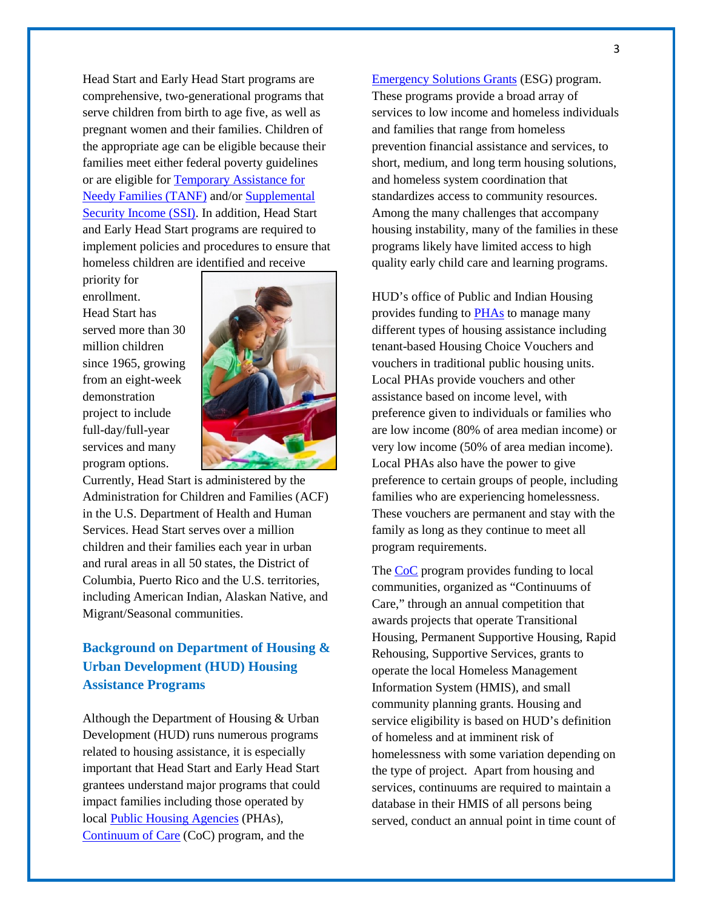Head Start and Early Head Start programs are comprehensive, two-generational programs that serve children from birth to age five, as well as pregnant women and their families. Children of the appropriate age can be eligible because their families meet either federal poverty guidelines or are eligible for [Temporary Assistance for](http://answers.hhs.gov/questions/4482)  [Needy Families \(TANF\)](http://answers.hhs.gov/questions/4482) and/o[r Supplemental](http://www.ssa.gov/ssi/)  [Security Income \(SSI\).](http://www.ssa.gov/ssi/) In addition, Head Start and Early Head Start programs are required to implement policies and procedures to ensure that homeless children are identified and receive

priority for enrollment. Head Start has served more than 30 million children since 1965, growing from an eight-week demonstration project to include full-day/full-year services and many program options.



Currently, Head Start is administered by the Administration for Children and Families (ACF) in the U.S. Department of Health and Human Services. Head Start serves over a million children and their families each year in urban and rural areas in all 50 states, the District of Columbia, Puerto Rico and the U.S. territories, including American Indian, Alaskan Native, and Migrant/Seasonal communities.

## **Background on Department of Housing & Urban Development (HUD) Housing Assistance Programs**

Although the Department of Housing & Urban Development (HUD) runs numerous programs related to housing assistance, it is especially important that Head Start and Early Head Start grantees understand major programs that could impact families including those operated by local [Public Housing Agencies](http://portal.hud.gov/hudportal/HUD?src=/topics/rental_assistance/phprog) (PHAs), [Continuum of Care](https://www.onecpd.info/coc/) (CoC) program, and the

[Emergency Solutions Grants](https://www.onecpd.info/esg/) (ESG) program. These programs provide a broad array of services to low income and homeless individuals and families that range from homeless prevention financial assistance and services, to short, medium, and long term housing solutions, and homeless system coordination that standardizes access to community resources. Among the many challenges that accompany housing instability, many of the families in these programs likely have limited access to high quality early child care and learning programs.

HUD's office of Public and Indian Housing provides funding to [PHAs](http://portal.hud.gov/hudportal/HUD?src=/program_offices/public_indian_housing/pha/contacts) to manage many different types of housing assistance including tenant-based Housing Choice Vouchers and vouchers in traditional public housing units. Local PHAs provide vouchers and other assistance based on income level, with preference given to individuals or families who are low income (80% of area median income) or very low income (50% of area median income). Local PHAs also have the power to give preference to certain groups of people, including families who are experiencing homelessness. These vouchers are permanent and stay with the family as long as they continue to meet all program requirements.

The [CoC](https://www.onecpd.info/grantees/?granteesaction=main.searchresults&programid=3) program provides funding to local communities, organized as "Continuums of Care," through an annual competition that awards projects that operate Transitional Housing, Permanent Supportive Housing, Rapid Rehousing, Supportive Services, grants to operate the local Homeless Management Information System (HMIS), and small community planning grants. Housing and service eligibility is based on HUD's definition of homeless and at imminent risk of homelessness with some variation depending on the type of project. Apart from housing and services, continuums are required to maintain a database in their HMIS of all persons being served, conduct an annual point in time count of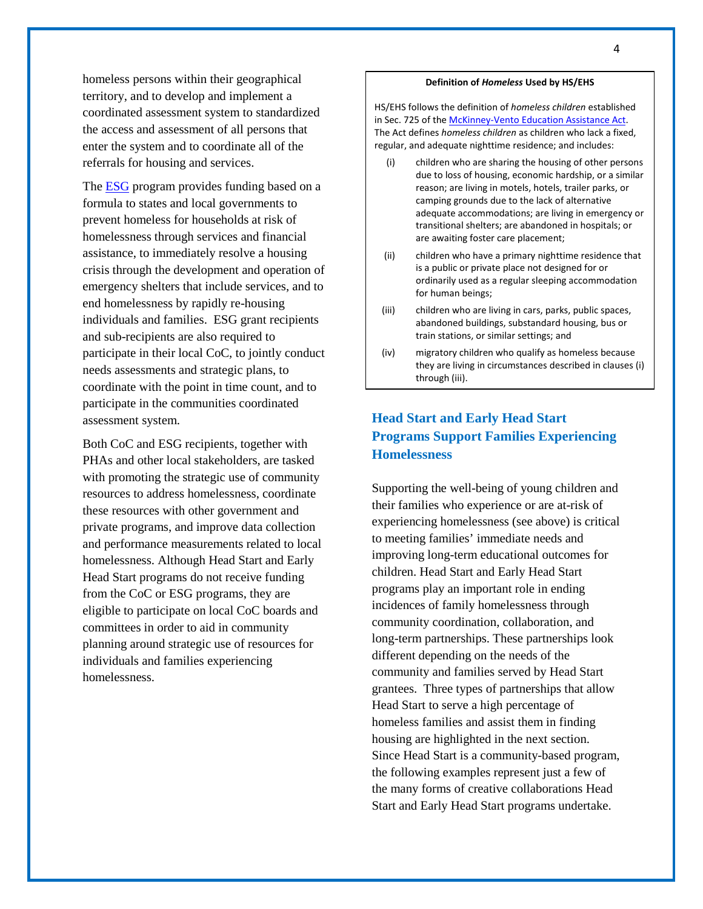homeless persons within their geographical territory, and to develop and implement a coordinated assessment system to standardized the access and assessment of all persons that enter the system and to coordinate all of the referrals for housing and services.

The **ESG** program provides funding based on a [formula to states and local governments](https://www.onecpd.info/grantees/?granteesaction=main.searchresults&programid=5) to prevent homeless for households at risk of homelessness through services and financial assistance, to immediately resolve a housing crisis through the development and operation of emergency shelters that include services, and to end homelessness by rapidly re-housing individuals and families. ESG grant recipients and sub-recipients are also required to participate in their local CoC, to jointly conduct needs assessments and strategic plans, to coordinate with the point in time count, and to participate in the communities coordinated assessment system.

Both CoC and ESG recipients, together with PHAs and other local stakeholders, are tasked with promoting the strategic use of community resources to address homelessness, coordinate these resources with other government and private programs, and improve data collection and performance measurements related to local homelessness. Although Head Start and Early Head Start programs do not receive funding from the CoC or ESG programs, they are eligible to participate on local CoC boards and committees in order to aid in community planning around strategic use of resources for individuals and families experiencing homelessness.

#### **Definition of** *Homeless* **Used by HS/EHS**

HS/EHS follows the definition of *homeless children* established in Sec. 725 of the McKinney-Vento Education Assistance Act. The Act defines *homeless children* as children who lack a fixed, regular, and adequate nighttime residence; and includes:

- (i) children who are sharing the housing of other persons due to loss of housing, economic hardship, or a similar reason; are living in motels, hotels, trailer parks, or camping grounds due to the lack of alternative adequate accommodations; are living in emergency or transitional shelters; are abandoned in hospitals; or are awaiting foster care placement;
- (ii) children who have a primary nighttime residence that is a public or private place not designed for or ordinarily used as a regular sleeping accommodation for human beings;
- (iii) children who are living in cars, parks, public spaces, abandoned buildings, substandard housing, bus or train stations, or similar settings; and
- (iv) migratory children who qualify as homeless because they are living in circumstances described in clauses (i) through (iii).

## **Head Start and Early Head Start Programs Support Families Experiencing Homelessness**

Supporting the well-being of young children and their families who experience or are at-risk of experiencing homelessness (see above) is critical to meeting families' immediate needs and improving long-term educational outcomes for children. Head Start and Early Head Start programs play an important role in ending incidences of family homelessness through community coordination, collaboration, and long-term partnerships. These partnerships look different depending on the needs of the community and families served by Head Start grantees. Three types of partnerships that allow Head Start to serve a high percentage of homeless families and assist them in finding housing are highlighted in the next section. Since Head Start is a community-based program, the following examples represent just a few of the many forms of creative collaborations Head Start and Early Head Start programs undertake.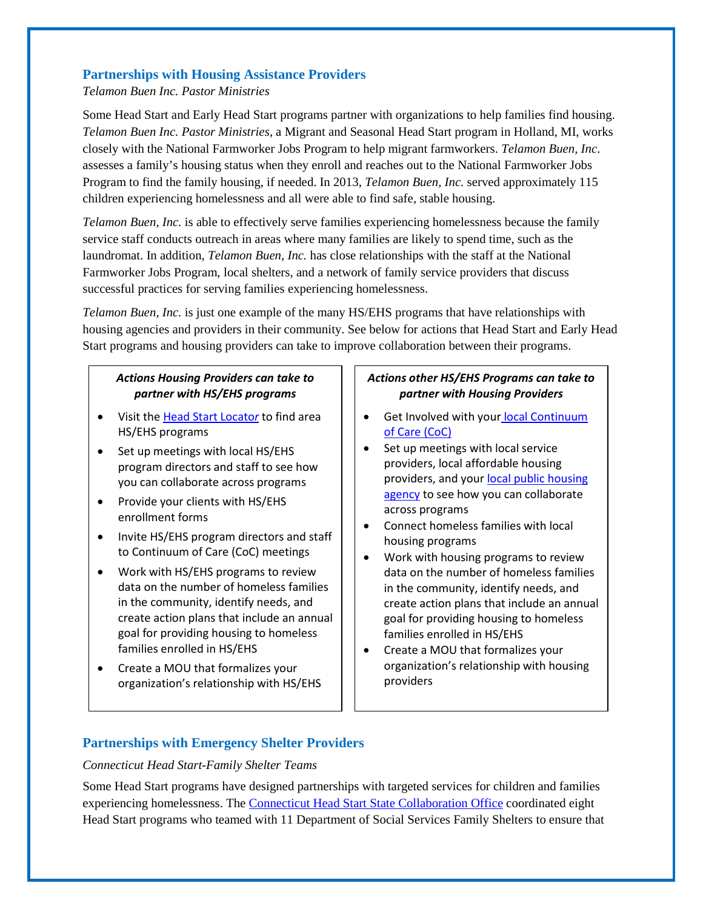## **Partnerships with Housing Assistance Providers**

#### *Telamon Buen Inc. Pastor Ministries*

Some Head Start and Early Head Start programs partner with organizations to help families find housing. *Telamon Buen Inc. Pastor Ministries*, a Migrant and Seasonal Head Start program in Holland, MI, works closely with the National Farmworker Jobs Program to help migrant farmworkers. *Telamon Buen, Inc*. assesses a family's housing status when they enroll and reaches out to the National Farmworker Jobs Program to find the family housing, if needed. In 2013, *Telamon Buen, Inc.* served approximately 115 children experiencing homelessness and all were able to find safe, stable housing.

*Telamon Buen, Inc.* is able to effectively serve families experiencing homelessness because the family service staff conducts outreach in areas where many families are likely to spend time, such as the laundromat. In addition, *Telamon Buen, Inc.* has close relationships with the staff at the National Farmworker Jobs Program, local shelters, and a network of family service providers that discuss successful practices for serving families experiencing homelessness.

*Telamon Buen, Inc.* is just one example of the many HS/EHS programs that have relationships with housing agencies and providers in their community. See below for actions that Head Start and Early Head Start programs and housing providers can take to improve collaboration between their programs.

## *Actions Housing Providers can take to partner with HS/EHS programs*

- Visit the [Head Start Locato](http://eclkc.ohs.acf.hhs.gov/hslc)*r* to find area HS/EHS programs
- Set up meetings with local HS/EHS program directors and staff to see how you can collaborate across programs
- Provide your clients with HS/EHS enrollment forms
- Invite HS/EHS program directors and staff to Continuum of Care (CoC) meetings
- Work with HS/EHS programs to review data on the number of homeless families in the community, identify needs, and create action plans that include an annual goal for providing housing to homeless families enrolled in HS/EHS
- Create a MOU that formalizes your organization's relationship with HS/EHS

## *Actions other HS/EHS Programs can take to partner with Housing Providers*

- Get Involved with your local Continuum [of Care \(CoC\)](https://www.onecpd.info/grantees/?granteesaction=main.searchresults&programid=3)
- Set up meetings with local service providers, local affordable housing providers, and your local public housing [agency](http://portal.hud.gov/hudportal/HUD?src=/program_offices/public_indian_housing/pha/contact) to see how you can collaborate across programs
- Connect homeless families with local housing programs
- Work with housing programs to review data on the number of homeless families in the community, identify needs, and create action plans that include an annual goal for providing housing to homeless families enrolled in HS/EHS
- Create a MOU that formalizes your organization's relationship with housing providers

## **Partnerships with Emergency Shelter Providers**

### *Connecticut Head Start-Family Shelter Teams*

Some Head Start programs have designed partnerships with targeted services for children and families experiencing homelessness. The [Connecticut Head Start State Collaboration Office](http://vvv.gcfyc.state.ct.us/index.html) coordinated eight Head Start programs who teamed with 11 Department of Social Services Family Shelters to ensure that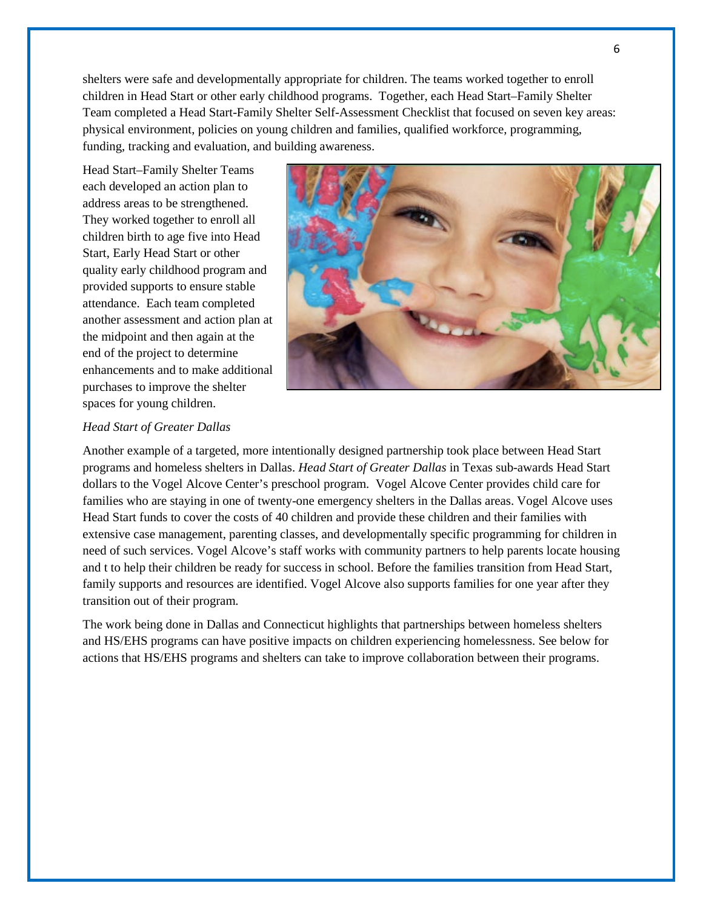shelters were safe and developmentally appropriate for children. The teams worked together to enroll children in Head Start or other early childhood programs. Together, each Head Start–Family Shelter Team completed a Head Start-Family Shelter Self-Assessment Checklist that focused on seven key areas: physical environment, policies on young children and families, qualified workforce, programming, funding, tracking and evaluation, and building awareness.

Head Start–Family Shelter Teams each developed an action plan to address areas to be strengthened. They worked together to enroll all children birth to age five into Head Start, Early Head Start or other quality early childhood program and provided supports to ensure stable attendance. Each team completed another assessment and action plan at the midpoint and then again at the end of the project to determine enhancements and to make additional purchases to improve the shelter spaces for young children.



#### *Head Start of Greater Dallas*

Another example of a targeted, more intentionally designed partnership took place between Head Start programs and homeless shelters in Dallas. *Head Start of Greater Dallas* in Texas sub-awards Head Start dollars to the Vogel Alcove Center's preschool program. Vogel Alcove Center provides child care for families who are staying in one of twenty-one emergency shelters in the Dallas areas. Vogel Alcove uses Head Start funds to cover the costs of 40 children and provide these children and their families with extensive case management, parenting classes, and developmentally specific programming for children in need of such services. Vogel Alcove's staff works with community partners to help parents locate housing and t to help their children be ready for success in school. Before the families transition from Head Start, family supports and resources are identified. Vogel Alcove also supports families for one year after they transition out of their program.

The work being done in Dallas and Connecticut highlights that partnerships between homeless shelters and HS/EHS programs can have positive impacts on children experiencing homelessness. See below for actions that HS/EHS programs and shelters can take to improve collaboration between their programs.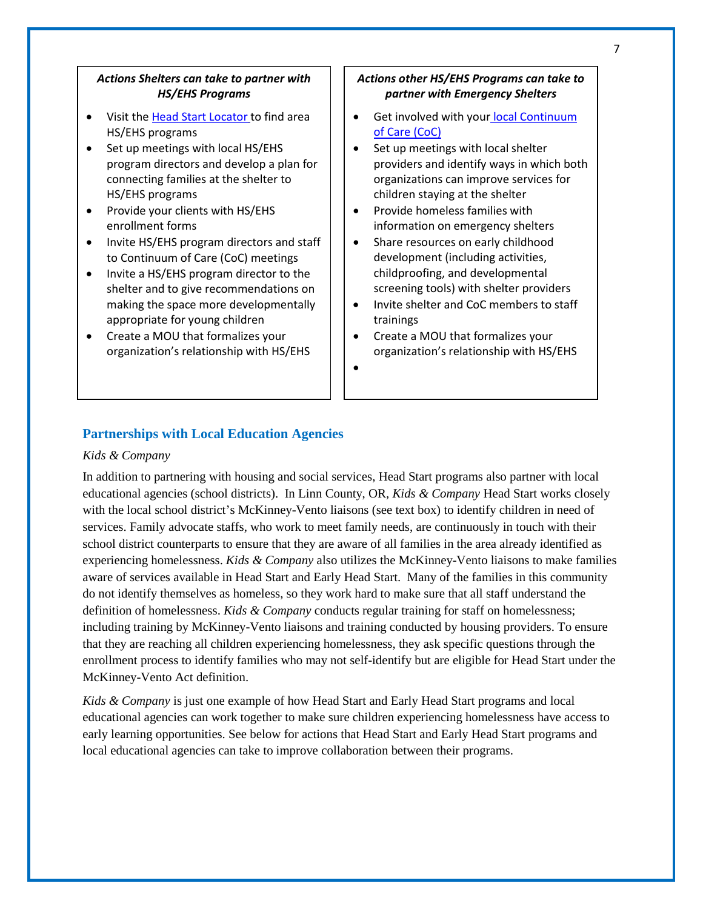### *Actions Shelters can take to partner with HS/EHS Programs*

- Visit the [Head Start Locator](http://eclkc.ohs.acf.hhs.gov/hslc) to find area HS/EHS programs
- Set up meetings with local HS/EHS program directors and develop a plan for connecting families at the shelter to HS/EHS programs
- Provide your clients with HS/EHS enrollment forms
- Invite HS/EHS program directors and staff to Continuum of Care (CoC) meetings
- Invite a HS/EHS program director to the shelter and to give recommendations on making the space more developmentally appropriate for young children
- Create a MOU that formalizes your organization's relationship with HS/EHS

#### *Actions other HS/EHS Programs can take to partner with Emergency Shelters*

- Get involved with your [local Continuum](https://www.onecpd.info/grantees/?granteesaction=main.searchresults&programid=3)  [of Care \(CoC\)](https://www.onecpd.info/grantees/?granteesaction=main.searchresults&programid=3)
- Set up meetings with local shelter providers and identify ways in which both organizations can improve services for children staying at the shelter
- Provide homeless families with information on emergency shelters
- Share resources on early childhood development (including activities, childproofing, and developmental screening tools) with shelter providers
- Invite shelter and CoC members to staff trainings
- Create a MOU that formalizes your organization's relationship with HS/EHS

•

## **Partnerships with Local Education Agencies**

#### *Kids & Company*

In addition to partnering with housing and social services, Head Start programs also partner with local educational agencies (school districts). In Linn County, OR*, Kids & Company* Head Start works closely with the local school district's McKinney-Vento liaisons (see text box) to identify children in need of services. Family advocate staffs, who work to meet family needs, are continuously in touch with their school district counterparts to ensure that they are aware of all families in the area already identified as experiencing homelessness. *Kids & Company* also utilizes the McKinney-Vento liaisons to make families aware of services available in Head Start and Early Head Start. Many of the families in this community do not identify themselves as homeless, so they work hard to make sure that all staff understand the definition of homelessness. *Kids & Company* conducts regular training for staff on homelessness; including training by McKinney-Vento liaisons and training conducted by housing providers. To ensure that they are reaching all children experiencing homelessness, they ask specific questions through the enrollment process to identify families who may not self-identify but are eligible for Head Start under the McKinney-Vento Act definition.

*Kids & Company* is just one example of how Head Start and Early Head Start programs and local educational agencies can work together to make sure children experiencing homelessness have access to early learning opportunities. See below for actions that Head Start and Early Head Start programs and local educational agencies can take to improve collaboration between their programs.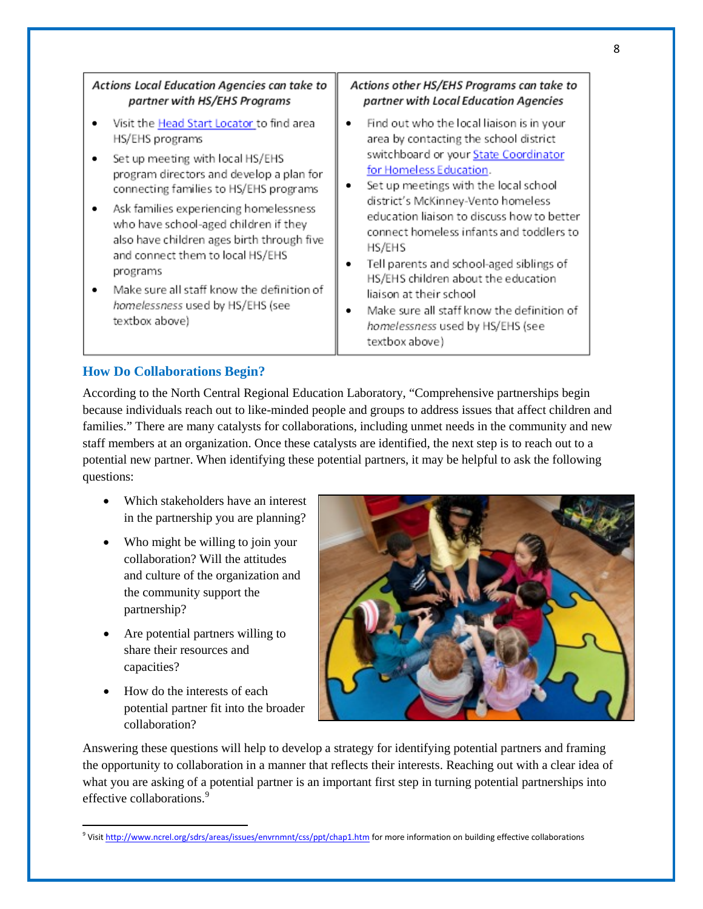| Actions Local Education Agencies can take to                                                                                                                                                                                                                                                                                                                                                                                                                                       | Actions other HS/EHS Programs can take to                                                                                                                                                                                                                                                                                                                                                                                                                                                                                                                         |
|------------------------------------------------------------------------------------------------------------------------------------------------------------------------------------------------------------------------------------------------------------------------------------------------------------------------------------------------------------------------------------------------------------------------------------------------------------------------------------|-------------------------------------------------------------------------------------------------------------------------------------------------------------------------------------------------------------------------------------------------------------------------------------------------------------------------------------------------------------------------------------------------------------------------------------------------------------------------------------------------------------------------------------------------------------------|
| partner with HS/EHS Programs                                                                                                                                                                                                                                                                                                                                                                                                                                                       | partner with Local Education Agencies                                                                                                                                                                                                                                                                                                                                                                                                                                                                                                                             |
| Visit the <b>Head Start Locator</b> to find area<br>HS/EHS programs<br>Set up meeting with local HS/EHS<br>program directors and develop a plan for<br>connecting families to HS/EHS programs<br>Ask families experiencing homelessness<br>who have school-aged children if they<br>also have children ages birth through five<br>and connect them to local HS/EHS<br>programs<br>Make sure all staff know the definition of<br>homelessness used by HS/EHS (see<br>textbox above) | Find out who the local liaison is in your<br>٠<br>area by contacting the school district<br>switchboard or your State Coordinator<br>for Homeless Education.<br>Set up meetings with the local school<br>district's McKinney-Vento homeless<br>education liaison to discuss how to better<br>connect homeless infants and toddlers to<br>HS/EHS<br>Tell parents and school-aged siblings of<br>HS/EHS children about the education<br>liaison at their school<br>Make sure all staff know the definition of<br>homelessness used by HS/EHS (see<br>textbox above) |

## **How Do Collaborations Begin?**

According to the North Central Regional Education Laboratory, "Comprehensive partnerships begin because individuals reach out to like-minded people and groups to address issues that affect children and families." There are many catalysts for collaborations, including unmet needs in the community and new staff members at an organization. Once these catalysts are identified, the next step is to reach out to a potential new partner. When identifying these potential partners, it may be helpful to ask the following questions:

- Which stakeholders have an interest in the partnership you are planning?
- Who might be willing to join your collaboration? Will the attitudes and culture of the organization and the community support the partnership?
- Are potential partners willing to share their resources and capacities?
- How do the interests of each potential partner fit into the broader collaboration?

l



Answering these questions will help to develop a strategy for identifying potential partners and framing the opportunity to collaboration in a manner that reflects their interests. Reaching out with a clear idea of what you are asking of a potential partner is an important first step in turning potential partnerships into effective collaborations.<sup>[9](#page-7-0)</sup>

<span id="page-7-0"></span><sup>&</sup>lt;sup>9</sup> Visi[t http://www.ncrel.org/sdrs/areas/issues/envrnmnt/css/ppt/chap1.htm](http://www.ncrel.org/sdrs/areas/issues/envrnmnt/css/ppt/chap1.htm) for more information on building effective collaborations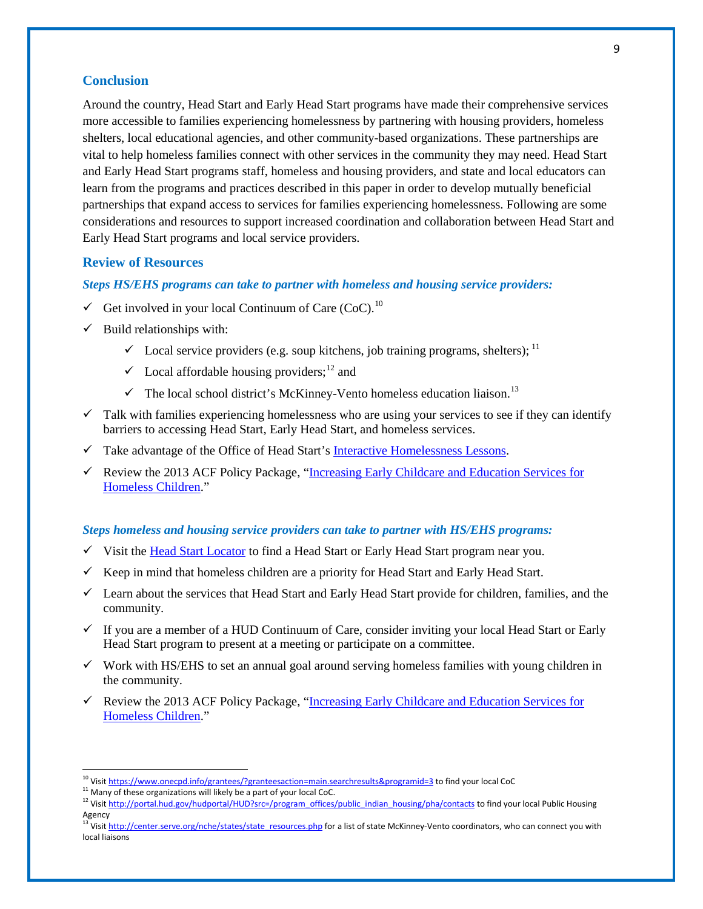## **Conclusion**

Around the country, Head Start and Early Head Start programs have made their comprehensive services more accessible to families experiencing homelessness by partnering with housing providers, homeless shelters, local educational agencies, and other community-based organizations. These partnerships are vital to help homeless families connect with other services in the community they may need. Head Start and Early Head Start programs staff, homeless and housing providers, and state and local educators can learn from the programs and practices described in this paper in order to develop mutually beneficial partnerships that expand access to services for families experiencing homelessness. Following are some considerations and resources to support increased coordination and collaboration between Head Start and Early Head Start programs and local service providers.

## **Review of Resources**

#### *Steps HS/EHS programs can take to partner with homeless and housing service providers:*

- Get involved in your local Continuum of Care (CoC).<sup>[10](#page-8-0)</sup>
- $\checkmark$  Build relationships with:
	- $\checkmark$  Local service providers (e.g. soup kitchens, job training programs, shelters);  $^{11}$  $^{11}$  $^{11}$
	- $\checkmark$  Local affordable housing providers;<sup>[12](#page-8-2)</sup> and
	- $\checkmark$  The local school district's McKinney-Vento homeless education liaison.<sup>[13](#page-8-3)</sup>
- $\checkmark$  Talk with families experiencing homelessness who are using your services to see if they can identify barriers to accessing Head Start, Early Head Start, and homeless services.
- $\checkmark$  Take advantage of the Office of Head Start's [Interactive Homelessness Lessons.](http://eclkc.ohs.acf.hhs.gov/hslc/tta-system/family/center/family/Homelessness/homelessness.html)
- Review the 2013 ACF Policy Package, "Increasing Early Childcare and Education Services for [Homeless Children.](http://www.acf.hhs.gov/programs/ecd/expanding-early-care-and-education-for-homeless-children)"

### *Steps homeless and housing service providers can take to partner with HS/EHS programs:*

- $\checkmark$  Visit the [Head Start Locator](http://eclkc.ohs.acf.hhs.gov/hslc) to find a Head Start or Early Head Start program near you.
- $\checkmark$  Keep in mind that homeless children are a priority for Head Start and Early Head Start.
- $\checkmark$  Learn about the services that Head Start and Early Head Start provide for children, families, and the community.
- $\checkmark$  If you are a member of a HUD Continuum of Care, consider inviting your local Head Start or Early Head Start program to present at a meeting or participate on a committee.
- $\checkmark$  Work with HS/EHS to set an annual goal around serving homeless families with young children in the community.
- Review the 2013 ACF Policy Package, "Increasing Early Childcare and Education Services for [Homeless Children.](http://www.acf.hhs.gov/programs/ecd/expanding-early-care-and-education-for-homeless-children)"

<span id="page-8-0"></span><sup>&</sup>lt;sup>10</sup> Visit https://www.onecpd.info/grantees/?granteesaction=main.searchresults&programid=3 to find your local CoC

<span id="page-8-2"></span><span id="page-8-1"></span><sup>&</sup>lt;sup>11</sup> Many of these organizations will likely be a part of your local CoC.<br><sup>12</sup> Visi[t http://portal.hud.gov/hudportal/HUD?src=/program\\_offices/public\\_indian\\_housing/pha/contacts](http://portal.hud.gov/hudportal/HUD?src=/program_offices/public_indian_housing/pha/contacts) to find your local Public Housing Agency

<span id="page-8-3"></span><sup>&</sup>lt;sup>13</sup> Visi[t http://center.serve.org/nche/states/state\\_resources.php](http://center.serve.org/nche/states/state_resources.php) for a list of state McKinney-Vento coordinators, who can connect you with local liaisons